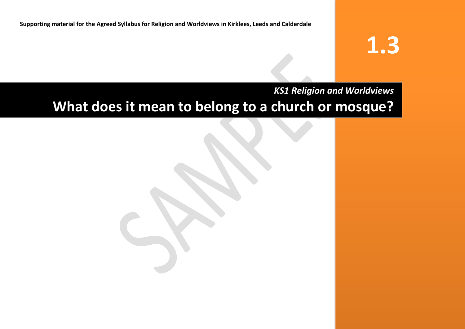**Supporting material for the Agreed Syllabus for Religion and Worldviews in Kirklees, Leeds and Calderdale**

# **1.3**

# *KS1 Religion and Worldviews*

# **What does it mean to belong to a church or mosque?**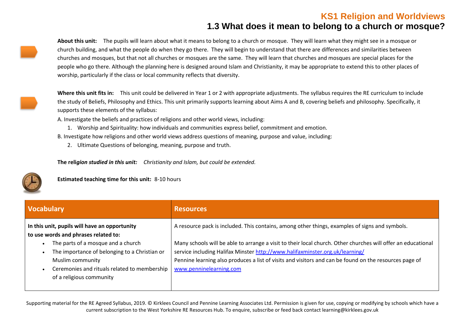#### **KS1 Religion and Worldviews 1.3 What does it mean to belong to a church or mosque?**

**About this unit:** The pupils will learn about what it means to belong to a church or mosque. They will learn what they might see in a mosque or church building, and what the people do when they go there. They will begin to understand that there are differences and similarities between churches and mosques, but that not all churches or mosques are the same. They will learn that churches and mosques are special places for the people who go there. Although the planning here is designed around Islam and Christianity, it may be appropriate to extend this to other places of worship, particularly if the class or local community reflects that diversity.

**Where this unit fits in:** This unit could be delivered in Year 1 or 2 with appropriate adjustments. The syllabus requires the RE curriculum to include the study of Beliefs, Philosophy and Ethics. This unit primarily supports learning about Aims A and B, covering beliefs and philosophy. Specifically, it supports these elements of the syllabus:

A. Investigate the beliefs and practices of religions and other world views, including:

1. Worship and Spirituality: how individuals and communities express belief, commitment and emotion.

B. Investigate how religions and other world views address questions of meaning, purpose and value, including:

2. Ultimate Questions of belonging, meaning, purpose and truth.

**The reli***gion studied in this unit: Christianity and Islam, but could be extended.* 

**Estimated teaching time for this unit:** 8-10 hours

| <b>Vocabulary</b>                                                                                                                                                                   | <b>Resources</b>                                                                                                                                                                                                                                                                                                                  |
|-------------------------------------------------------------------------------------------------------------------------------------------------------------------------------------|-----------------------------------------------------------------------------------------------------------------------------------------------------------------------------------------------------------------------------------------------------------------------------------------------------------------------------------|
| In this unit, pupils will have an opportunity<br>to use words and phrases related to:                                                                                               | A resource pack is included. This contains, among other things, examples of signs and symbols.                                                                                                                                                                                                                                    |
| The parts of a mosque and a church<br>The importance of belonging to a Christian or<br>Muslim community<br>Ceremonies and rituals related to membership<br>of a religious community | Many schools will be able to arrange a visit to their local church. Other churches will offer an educational<br>service including Halifax Minster http://www.halifaxminster.org.uk/learning/<br>Pennine learning also produces a list of visits and visitors and can be found on the resources page of<br>www.penninelearning.com |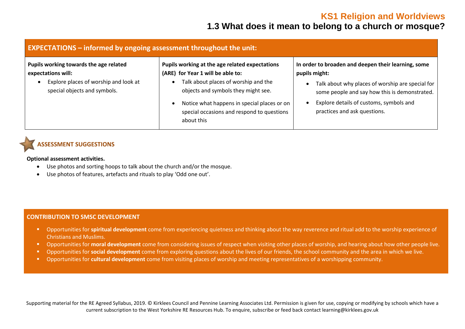# **1.3 What does it mean to belong to a church or mosque?**

| <b>EXPECTATIONS</b> – informed by ongoing assessment throughout the unit:                                                                          |                                                                                                                                                                                                                                                                               |                                                                                                                                                                                                                                                      |  |
|----------------------------------------------------------------------------------------------------------------------------------------------------|-------------------------------------------------------------------------------------------------------------------------------------------------------------------------------------------------------------------------------------------------------------------------------|------------------------------------------------------------------------------------------------------------------------------------------------------------------------------------------------------------------------------------------------------|--|
| Pupils working towards the age related<br>expectations will:<br>Explore places of worship and look at<br>$\bullet$<br>special objects and symbols. | Pupils working at the age related expectations<br>(ARE) for Year 1 will be able to:<br>Talk about places of worship and the<br>objects and symbols they might see.<br>Notice what happens in special places or on<br>special occasions and respond to questions<br>about this | In order to broaden and deepen their learning, some<br>pupils might:<br>Talk about why places of worship are special for<br>some people and say how this is demonstrated.<br>Explore details of customs, symbols and<br>practices and ask questions. |  |

#### **ASSESSMENT SUGGESTIONS**

**Optional assessment activities.** 

- Use photos and sorting hoops to talk about the church and/or the mosque.
- Use photos of features, artefacts and rituals to play 'Odd one out'.

#### **CONTRIBUTION TO SMSC DEVELOPMENT**

- Opportunities for **spiritual development** come from experiencing quietness and thinking about the way reverence and ritual add to the worship experience of Christians and Muslims.
- Opportunities for **moral development** come from considering issues of respect when visiting other places of worship, and hearing about how other people live.
- Opportunities for **social development** come from exploring questions about the lives of our friends, the school community and the area in which we live.
- Opportunities for **cultural development** come from visiting places of worship and meeting representatives of a worshipping community.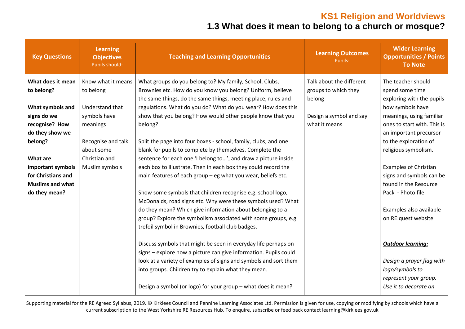# **1.3 What does it mean to belong to a church or mosque?**

| <b>Key Questions</b>    | <b>Learning</b><br><b>Objectives</b><br>Pupils should: | <b>Teaching and Learning Opportunities</b>                       | <b>Learning Outcomes</b><br>Pupils: | <b>Wider Learning</b><br><b>Opportunities / Points</b><br><b>To Note</b> |
|-------------------------|--------------------------------------------------------|------------------------------------------------------------------|-------------------------------------|--------------------------------------------------------------------------|
| What does it mean       | Know what it means                                     | What groups do you belong to? My family, School, Clubs,          | Talk about the different            | The teacher should                                                       |
| to belong?              | to belong                                              | Brownies etc. How do you know you belong? Uniform, believe       | groups to which they                | spend some time                                                          |
|                         |                                                        | the same things, do the same things, meeting place, rules and    | belong                              | exploring with the pupils                                                |
| What symbols and        | Understand that                                        | regulations. What do you do? What do you wear? How does this     |                                     | how symbols have                                                         |
| signs do we             | symbols have                                           | show that you belong? How would other people know that you       | Design a symbol and say             | meanings, using familiar                                                 |
| recognise? How          | meanings                                               | belong?                                                          | what it means                       | ones to start with. This is                                              |
| do they show we         |                                                        |                                                                  |                                     | an important precursor                                                   |
| belong?                 | Recognise and talk                                     | Split the page into four boxes - school, family, clubs, and one  |                                     | to the exploration of                                                    |
|                         | about some                                             | blank for pupils to complete by themselves. Complete the         |                                     | religious symbolism.                                                     |
| <b>What are</b>         | Christian and                                          | sentence for each one 'I belong to', and draw a picture inside   |                                     |                                                                          |
| important symbols       | Muslim symbols                                         | each box to illustrate. Then in each box they could record the   |                                     | <b>Examples of Christian</b>                                             |
| for Christians and      |                                                        | main features of each group - eg what you wear, beliefs etc.     |                                     | signs and symbols can be                                                 |
| <b>Muslims and what</b> |                                                        |                                                                  |                                     | found in the Resource                                                    |
| do they mean?           |                                                        | Show some symbols that children recognise e.g. school logo,      |                                     | Pack - Photo file                                                        |
|                         |                                                        | McDonalds, road signs etc. Why were these symbols used? What     |                                     |                                                                          |
|                         |                                                        | do they mean? Which give information about belonging to a        |                                     | Examples also available                                                  |
|                         |                                                        | group? Explore the symbolism associated with some groups, e.g.   |                                     | on RE:quest website                                                      |
|                         |                                                        | trefoil symbol in Brownies, football club badges.                |                                     |                                                                          |
|                         |                                                        | Discuss symbols that might be seen in everyday life perhaps on   |                                     | <b>Outdoor learning:</b>                                                 |
|                         |                                                        | signs - explore how a picture can give information. Pupils could |                                     |                                                                          |
|                         |                                                        | look at a variety of examples of signs and symbols and sort them |                                     | Design a prayer flag with                                                |
|                         |                                                        | into groups. Children try to explain what they mean.             |                                     | logo/symbols to                                                          |
|                         |                                                        |                                                                  |                                     | represent your group.                                                    |
|                         |                                                        | Design a symbol (or logo) for your group - what does it mean?    |                                     | Use it to decorate an                                                    |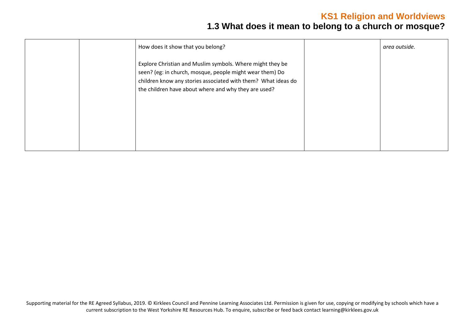# **1.3 What does it mean to belong to a church or mosque?**

| How does it show that you belong?                                                                                                                                                                                                              | area outside. |
|------------------------------------------------------------------------------------------------------------------------------------------------------------------------------------------------------------------------------------------------|---------------|
| Explore Christian and Muslim symbols. Where might they be<br>seen? (eg: in church, mosque, people might wear them) Do<br>children know any stories associated with them? What ideas do<br>the children have about where and why they are used? |               |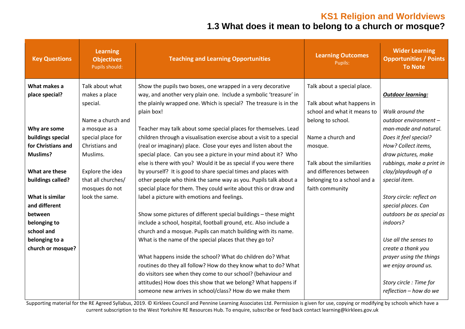# **1.3 What does it mean to belong to a church or mosque?**

| <b>Key Questions</b> | <b>Learning</b><br><b>Objectives</b><br>Pupils should: | <b>Teaching and Learning Opportunities</b>                                                                                             | <b>Learning Outcomes</b><br>Pupils:            | <b>Wider Learning</b><br><b>Opportunities / Points</b><br><b>To Note</b> |
|----------------------|--------------------------------------------------------|----------------------------------------------------------------------------------------------------------------------------------------|------------------------------------------------|--------------------------------------------------------------------------|
| What makes a         | Talk about what                                        | Show the pupils two boxes, one wrapped in a very decorative                                                                            | Talk about a special place.                    |                                                                          |
| place special?       | makes a place<br>special.                              | way, and another very plain one. Include a symbolic 'treasure' in<br>the plainly wrapped one. Which is special? The treasure is in the | Talk about what happens in                     | <b>Outdoor learning:</b>                                                 |
|                      |                                                        | plain box!                                                                                                                             | school and what it means to                    | Walk around the                                                          |
|                      | Name a church and                                      |                                                                                                                                        | belong to school.                              | outdoor environment -                                                    |
| Why are some         | a mosque as a                                          | Teacher may talk about some special places for themselves. Lead                                                                        |                                                | man-made and natural.                                                    |
| buildings special    | special place for                                      | children through a visualisation exercise about a visit to a special                                                                   | Name a church and                              | Does it feel special?                                                    |
| for Christians and   | Christians and                                         | (real or imaginary) place. Close your eyes and listen about the                                                                        | mosque.                                        | How? Collect items,                                                      |
| <b>Muslims?</b>      | Muslims.                                               | special place. Can you see a picture in your mind about it? Who                                                                        |                                                | draw pictures, make                                                      |
|                      |                                                        | else is there with you? Would it be as special if you were there                                                                       | Talk about the similarities                    | rubbings, make a print in                                                |
| What are these       | Explore the idea<br>that all churches/                 | by yourself? It is good to share special times and places with                                                                         | and differences between                        | clay/playdough of a                                                      |
| buildings called?    | mosques do not                                         | other people who think the same way as you. Pupils talk about a<br>special place for them. They could write about this or draw and     | belonging to a school and a<br>faith community | special item.                                                            |
| What is similar      | look the same.                                         | label a picture with emotions and feelings.                                                                                            |                                                | Story circle: reflect on                                                 |
| and different        |                                                        |                                                                                                                                        |                                                | special places. Can                                                      |
| between              |                                                        | Show some pictures of different special buildings - these might                                                                        |                                                | outdoors be as special as                                                |
| belonging to         |                                                        | include a school, hospital, football ground, etc. Also include a                                                                       |                                                | indoors?                                                                 |
| school and           |                                                        | church and a mosque. Pupils can match building with its name.                                                                          |                                                |                                                                          |
| belonging to a       |                                                        | What is the name of the special places that they go to?                                                                                |                                                | Use all the senses to                                                    |
| church or mosque?    |                                                        |                                                                                                                                        |                                                | create a thank you                                                       |
|                      |                                                        | What happens inside the school? What do children do? What                                                                              |                                                | prayer using the things                                                  |
|                      |                                                        | routines do they all follow? How do they know what to do? What                                                                         |                                                | we enjoy around us.                                                      |
|                      |                                                        | do visitors see when they come to our school? (behaviour and                                                                           |                                                |                                                                          |
|                      |                                                        | attitudes) How does this show that we belong? What happens if<br>someone new arrives in school/class? How do we make them              |                                                | Story circle : Time for<br>reflection - how do we                        |
|                      |                                                        |                                                                                                                                        |                                                |                                                                          |